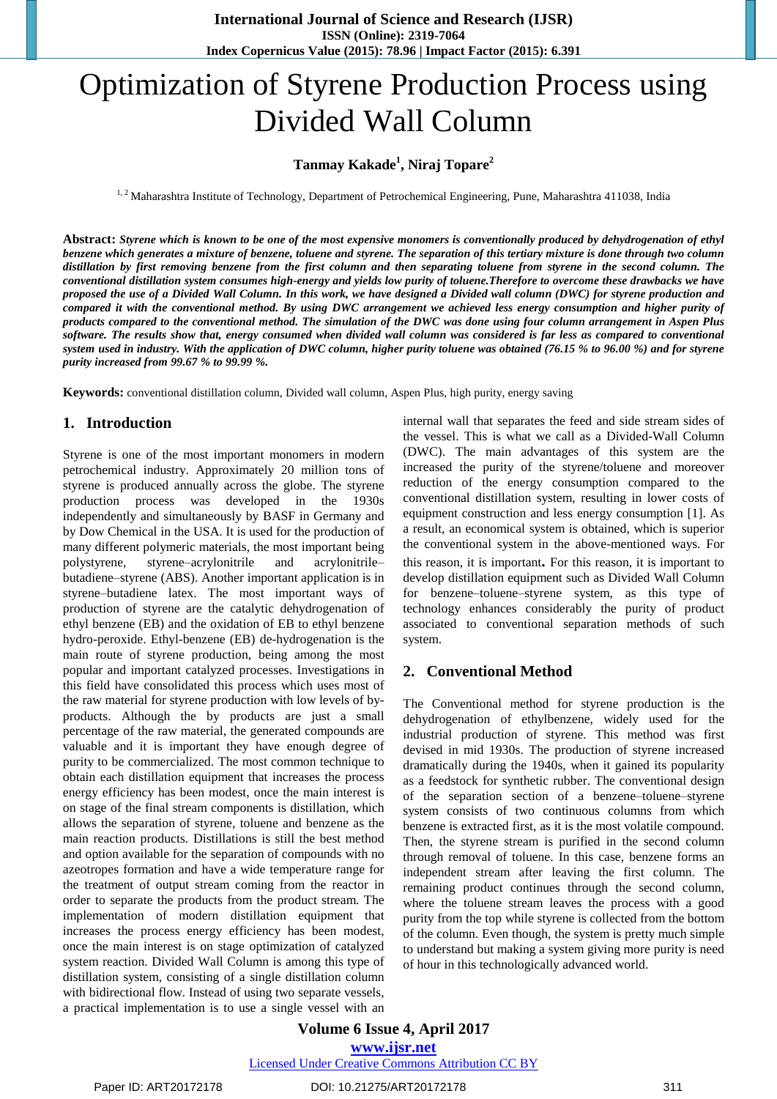# Optimization of Styrene Production Process using Divided Wall Column

## **Tanmay Kakade<sup>1</sup> , Niraj Topare<sup>2</sup>**

<sup>1, 2</sup> Maharashtra Institute of Technology, Department of Petrochemical Engineering, Pune, Maharashtra 411038, India

Abstract: Styrene which is known to be one of the most expensive monomers is conventionally produced by dehydrogenation of ethyl benzene which generates a mixture of benzene, toluene and styrene. The separation of this tertiary mixture is done through two column distillation by first removing benzene from the first column and then separating toluene from styrene in the second column. The conventional distillation system consumes high-energy and yields low purity of toluene. Therefore to overcome these drawbacks we have proposed the use of a Divided Wall Column. In this work, we have designed a Divided wall column (DWC) for styrene production and compared it with the conventional method. By using DWC arrangement we achieved less energy consumption and higher purity of products compared to the conventional method. The simulation of the DWC was done using four column arrangement in Aspen Plus software. The results show that, energy consumed when divided wall column was considered is far less as compared to conventional system used in industry. With the application of DWC column, higher purity toluene was obtained (76.15 % to 96.00 %) and for styrene *purity increased from 99.67 % to 99.99 %.*

**Keywords:** conventional distillation column, Divided wall column, Aspen Plus, high purity, energy saving

#### **1. Introduction**

Styrene is one of the most important monomers in modern petrochemical industry. Approximately 20 million tons of styrene is produced annually across the globe. The styrene production process was developed in the 1930s independently and simultaneously by BASF in Germany and by Dow Chemical in the USA. It is used for the production of many different polymeric materials, the most important being polystyrene, styrene–acrylonitrile and acrylonitrile– butadiene–styrene (ABS). Another important application is in styrene–butadiene latex. The most important ways of production of styrene are the catalytic dehydrogenation of ethyl benzene (EB) and the oxidation of EB to ethyl benzene hydro-peroxide. Ethyl-benzene (EB) de-hydrogenation is the main route of styrene production, being among the most popular and important catalyzed processes. Investigations in this field have consolidated this process which uses most of the raw material for styrene production with low levels of byproducts. Although the by products are just a small percentage of the raw material, the generated compounds are valuable and it is important they have enough degree of purity to be commercialized. The most common technique to obtain each distillation equipment that increases the process energy efficiency has been modest, once the main interest is on stage of the final stream components is distillation, which allows the separation of styrene, toluene and benzene as the main reaction products. Distillations is still the best method and option available for the separation of compounds with no azeotropes formation and have a wide temperature range for the treatment of output stream coming from the reactor in order to separate the products from the product stream. The implementation of modern distillation equipment that increases the process energy efficiency has been modest, once the main interest is on stage optimization of catalyzed system reaction. Divided Wall Column is among this type of distillation system, consisting of a single distillation column with bidirectional flow. Instead of using two separate vessels, a practical implementation is to use a single vessel with an internal wall that separates the feed and side stream sides of the vessel. This is what we call as a Divided-Wall Column (DWC). The main advantages of this system are the increased the purity of the styrene/toluene and moreover reduction of the energy consumption compared to the conventional distillation system, resulting in lower costs of equipment construction and less energy consumption [1]. As a result, an economical system is obtained, which is superior the conventional system in the above-mentioned ways. For this reason, it is important**.** For this reason, it is important to develop distillation equipment such as Divided Wall Column for benzene–toluene–styrene system, as this type of technology enhances considerably the purity of product associated to conventional separation methods of such system.

#### **2. Conventional Method**

The Conventional method for styrene production is the dehydrogenation of ethylbenzene, widely used for the industrial production of styrene. This method was first devised in mid 1930s. The production of styrene increased dramatically during the 1940s, when it gained its popularity as a feedstock for synthetic rubber. The conventional design of the separation section of a benzene–toluene–styrene system consists of two continuous columns from which benzene is extracted first, as it is the most volatile compound. Then, the styrene stream is purified in the second column through removal of toluene. In this case, benzene forms an independent stream after leaving the first column. The remaining product continues through the second column, where the toluene stream leaves the process with a good purity from the top while styrene is collected from the bottom of the column. Even though, the system is pretty much simple to understand but making a system giving more purity is need of hour in this technologically advanced world.

**Volume 6 Issue 4, April 2017**

**www.ijsr.net**

Licensed Under Creative Commons Attribution CC BY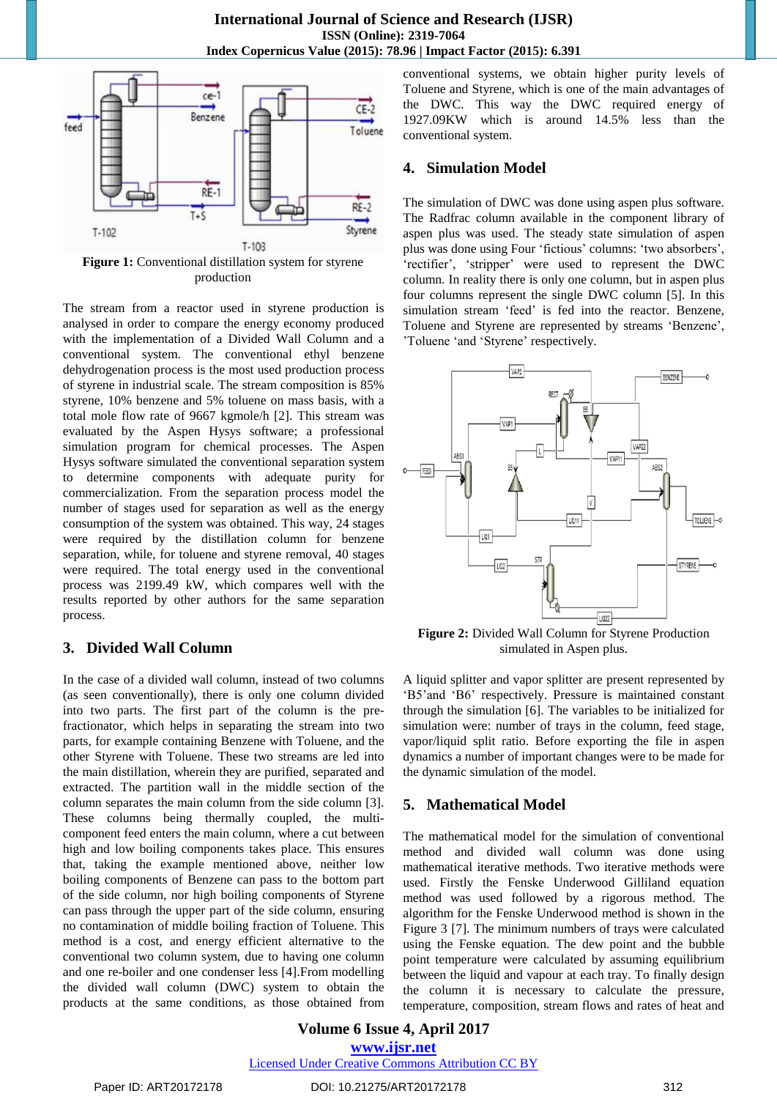

**Figure 1:** Conventional distillation system for styrene production

The stream from a reactor used in styrene production is analysed in order to compare the energy economy produced with the implementation of a Divided Wall Column and a conventional system. The conventional ethyl benzene dehydrogenation process is the most used production process of styrene in industrial scale. The stream composition is 85% styrene, 10% benzene and 5% toluene on mass basis, with a total mole flow rate of 9667 kgmole/h [2]. This stream was evaluated by the Aspen Hysys software; a professional simulation program for chemical processes. The Aspen Hysys software simulated the conventional separation system to determine components with adequate purity for commercialization. From the separation process model the number of stages used for separation as well as the energy consumption of the system was obtained. This way, 24 stages were required by the distillation column for benzene separation, while, for toluene and styrene removal, 40 stages were required. The total energy used in the conventional process was 2199.49 kW, which compares well with the results reported by other authors for the same separation process.

# **3. Divided Wall Column**

In the case of a divided wall column, instead of two columns (as seen conventionally), there is only one column divided into two parts. The first part of the column is the prefractionator, which helps in separating the stream into two parts, for example containing Benzene with Toluene, and the other Styrene with Toluene. These two streams are led into the main distillation, wherein they are purified, separated and extracted. The partition wall in the middle section of the column separates the main column from the side column [3]. These columns being thermally coupled, the multicomponent feed enters the main column, where a cut between high and low boiling components takes place. This ensures that, taking the example mentioned above, neither low boiling components of Benzene can pass to the bottom part of the side column, nor high boiling components of Styrene can pass through the upper part of the side column, ensuring no contamination of middle boiling fraction of Toluene. This method is a cost, and energy efficient alternative to the conventional two column system, due to having one column and one re-boiler and one condenser less [4].From modelling the divided wall column (DWC) system to obtain the products at the same conditions, as those obtained from conventional systems, we obtain higher purity levels of Toluene and Styrene, which is one of the main advantages of the DWC. This way the DWC required energy of 1927.09KW which is around 14.5% less than the conventional system.

#### **4. Simulation Model**

The simulation of DWC was done using aspen plus software. The Radfrac column available in the component library of aspen plus was used. The steady state simulation of aspen plus was done using Four 'fictious' columns: 'two absorbers', 'rectifier', 'stripper' were used to represent the DWC column. In reality there is only one column, but in aspen plus four columns represent the single DWC column [5]. In this simulation stream "feed" is fed into the reactor. Benzene, Toluene and Styrene are represented by streams "Benzene", 'Toluene 'and 'Styrene' respectively.



**Figure 2:** Divided Wall Column for Styrene Production simulated in Aspen plus.

A liquid splitter and vapor splitter are present represented by "B5"and "B6" respectively. Pressure is maintained constant through the simulation [6]. The variables to be initialized for simulation were: number of trays in the column, feed stage, vapor/liquid split ratio. Before exporting the file in aspen dynamics a number of important changes were to be made for the dynamic simulation of the model.

## **5. Mathematical Model**

The mathematical model for the simulation of conventional method and divided wall column was done using mathematical iterative methods. Two iterative methods were used. Firstly the Fenske Underwood Gilliland equation method was used followed by a rigorous method. The algorithm for the Fenske Underwood method is shown in the Figure 3 [7]. The minimum numbers of trays were calculated using the Fenske equation. The dew point and the bubble point temperature were calculated by assuming equilibrium between the liquid and vapour at each tray. To finally design the column it is necessary to calculate the pressure, temperature, composition, stream flows and rates of heat and

**Volume 6 Issue 4, April 2017 www.ijsr.net** Licensed Under Creative Commons Attribution CC BY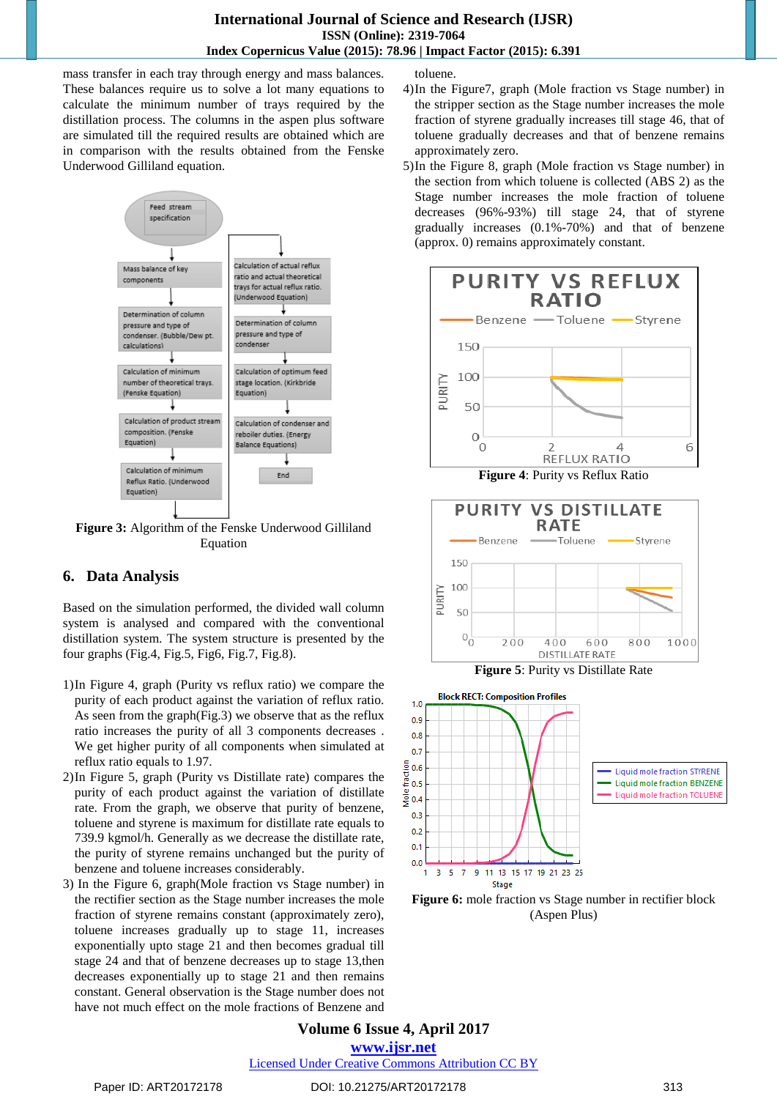mass transfer in each tray through energy and mass balances. These balances require us to solve a lot many equations to calculate the minimum number of trays required by the distillation process. The columns in the aspen plus software are simulated till the required results are obtained which are in comparison with the results obtained from the Fenske Underwood Gilliland equation.



**Figure 3:** Algorithm of the Fenske Underwood Gilliland Equation

## **6. Data Analysis**

Based on the simulation performed, the divided wall column system is analysed and compared with the conventional distillation system. The system structure is presented by the four graphs (Fig.4, Fig.5, Fig6, Fig.7, Fig.8).

- 1)In Figure 4, graph (Purity vs reflux ratio) we compare the purity of each product against the variation of reflux ratio. As seen from the graph(Fig.3) we observe that as the reflux ratio increases the purity of all 3 components decreases . We get higher purity of all components when simulated at reflux ratio equals to 1.97.
- 2)In Figure 5, graph (Purity vs Distillate rate) compares the purity of each product against the variation of distillate rate. From the graph, we observe that purity of benzene, toluene and styrene is maximum for distillate rate equals to 739.9 kgmol/h. Generally as we decrease the distillate rate, the purity of styrene remains unchanged but the purity of benzene and toluene increases considerably.
- 3) In the Figure 6, graph(Mole fraction vs Stage number) in the rectifier section as the Stage number increases the mole fraction of styrene remains constant (approximately zero), toluene increases gradually up to stage 11, increases exponentially upto stage 21 and then becomes gradual till stage 24 and that of benzene decreases up to stage 13,then decreases exponentially up to stage 21 and then remains constant. General observation is the Stage number does not have not much effect on the mole fractions of Benzene and

toluene.

- 4)In the Figure7, graph (Mole fraction vs Stage number) in the stripper section as the Stage number increases the mole fraction of styrene gradually increases till stage 46, that of toluene gradually decreases and that of benzene remains approximately zero.
- 5)In the Figure 8, graph (Mole fraction vs Stage number) in the section from which toluene is collected (ABS 2) as the Stage number increases the mole fraction of toluene decreases (96%-93%) till stage 24, that of styrene gradually increases (0.1%-70%) and that of benzene (approx. 0) remains approximately constant.



**Figure 4**: Purity vs Reflux Ratio



11 13 15 17 19 21 23 25  $3<sub>5</sub>$  $\overline{7}$  $\overline{9}$ Stage

**Figure 6:** mole fraction vs Stage number in rectifier block (Aspen Plus)

**Volume 6 Issue 4, April 2017 www.ijsr.net**

Licensed Under Creative Commons Attribution CC BY

 $\mathbf{0}$ .  $0.0$